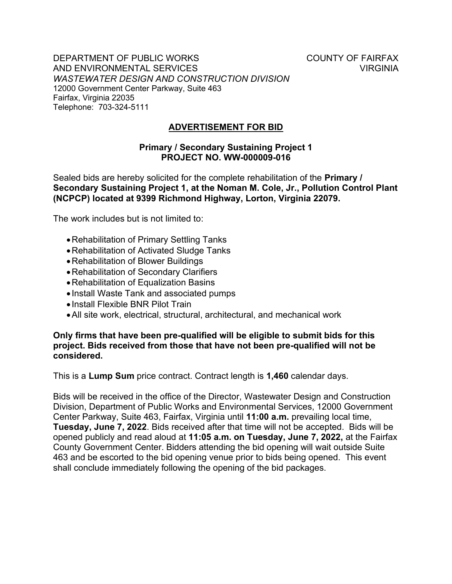DEPARTMENT OF PUBLIC WORKS COUNTY OF FAIRFAX AND ENVIRONMENTAL SERVICES VIRGINIA *WASTEWATER DESIGN AND CONSTRUCTION DIVISION* 12000 Government Center Parkway, Suite 463 Fairfax, Virginia 22035 Telephone: 703-324-5111

**ADVERTISEMENT FOR BID**

## **Primary / Secondary Sustaining Project 1 PROJECT NO. WW-000009-016**

Sealed bids are hereby solicited for the complete rehabilitation of the **Primary / Secondary Sustaining Project 1, at the Noman M. Cole, Jr., Pollution Control Plant (NCPCP) located at 9399 Richmond Highway, Lorton, Virginia 22079.** 

The work includes but is not limited to:

- •Rehabilitation of Primary Settling Tanks
- •Rehabilitation of Activated Sludge Tanks
- •Rehabilitation of Blower Buildings
- •Rehabilitation of Secondary Clarifiers
- •Rehabilitation of Equalization Basins
- Install Waste Tank and associated pumps
- Install Flexible BNR Pilot Train
- •All site work, electrical, structural, architectural, and mechanical work

## **Only firms that have been pre-qualified will be eligible to submit bids for this project. Bids received from those that have not been pre-qualified will not be considered.**

This is a **Lump Sum** price contract. Contract length is **1,460** calendar days.

Bids will be received in the office of the Director, Wastewater Design and Construction Division, Department of Public Works and Environmental Services, 12000 Government Center Parkway, Suite 463, Fairfax, Virginia until **11:00 a.m.** prevailing local time, **Tuesday, June 7, 2022**. Bids received after that time will not be accepted. Bids will be opened publicly and read aloud at **11:05 a.m. on Tuesday, June 7, 2022,** at the Fairfax County Government Center. Bidders attending the bid opening will wait outside Suite 463 and be escorted to the bid opening venue prior to bids being opened. This event shall conclude immediately following the opening of the bid packages.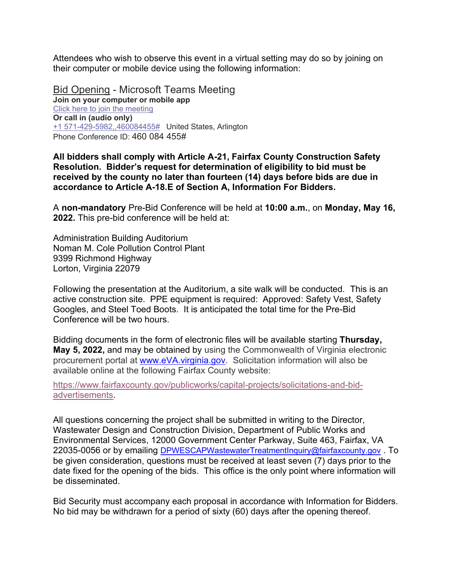Attendees who wish to observe this event in a virtual setting may do so by joining on their computer or mobile device using the following information:

Bid Opening - Microsoft Teams Meeting **Join on your computer or mobile app** Click here to join the [meeting](https://teams.microsoft.com/l/meetup-join/19%3ameeting_MzE1YWU2ZTUtOTE5OS00YzgwLThmNGItOGUzZDg3OWQ0Yjdl%40thread.v2/0?context=%7b%22Tid%22%3a%22a26156cb-5d6f-4172-9d7d-934eb0a7b275%22%2c%22Oid%22%3a%224373cca1-0532-44e4-861d-8e7047937dbe%22%7d) **Or call in (audio only)** +1 [571-429-5982,,460084455#](tel:+15714295982,,460084455) United States, Arlington Phone Conference ID: 460 084 455#

**All bidders shall comply with Article A-21, Fairfax County Construction Safety Resolution. Bidder's request for determination of eligibility to bid must be received by the county no later than fourteen (14) days before bids are due in accordance to Article A-18.E of Section A, Information For Bidders.**

A **non-mandatory** Pre-Bid Conference will be held at **10:00 a.m.**, on **Monday, May 16, 2022.** This pre-bid conference will be held at:

Administration Building Auditorium Noman M. Cole Pollution Control Plant 9399 Richmond Highway Lorton, Virginia 22079

Following the presentation at the Auditorium, a site walk will be conducted. This is an active construction site. PPE equipment is required: Approved: Safety Vest, Safety Googles, and Steel Toed Boots. It is anticipated the total time for the Pre-Bid Conference will be two hours.

Bidding documents in the form of electronic files will be available starting **Thursday, May 5, 2022,** and may be obtained by using the Commonwealth of Virginia electronic procurement portal at [www.eVA.virginia.gov.](http://www.eva.virginia.gov/) Solicitation information will also be available online at the following Fairfax County website:

[https://www.fairfaxcounty.gov/publicworks/capital-projects/solicitations-and-bid](https://www.fairfaxcounty.gov/publicworks/capital-projects/solicitations-and-bid-advertisements)[advertisements.](https://www.fairfaxcounty.gov/publicworks/capital-projects/solicitations-and-bid-advertisements)

All questions concerning the project shall be submitted in writing to the Director, Wastewater Design and Construction Division, Department of Public Works and Environmental Services, 12000 Government Center Parkway, Suite 463, Fairfax, VA 22035-0056 or by emailing [DPWESCAPWastewaterTreatmentInquiry@fairfaxcounty.gov](mailto:DPWESCAPWastewaterTreatmentInquiry@fairfaxcounty.gov) To be given consideration, questions must be received at least seven (7) days prior to the date fixed for the opening of the bids. This office is the only point where information will be disseminated.

Bid Security must accompany each proposal in accordance with Information for Bidders. No bid may be withdrawn for a period of sixty (60) days after the opening thereof.